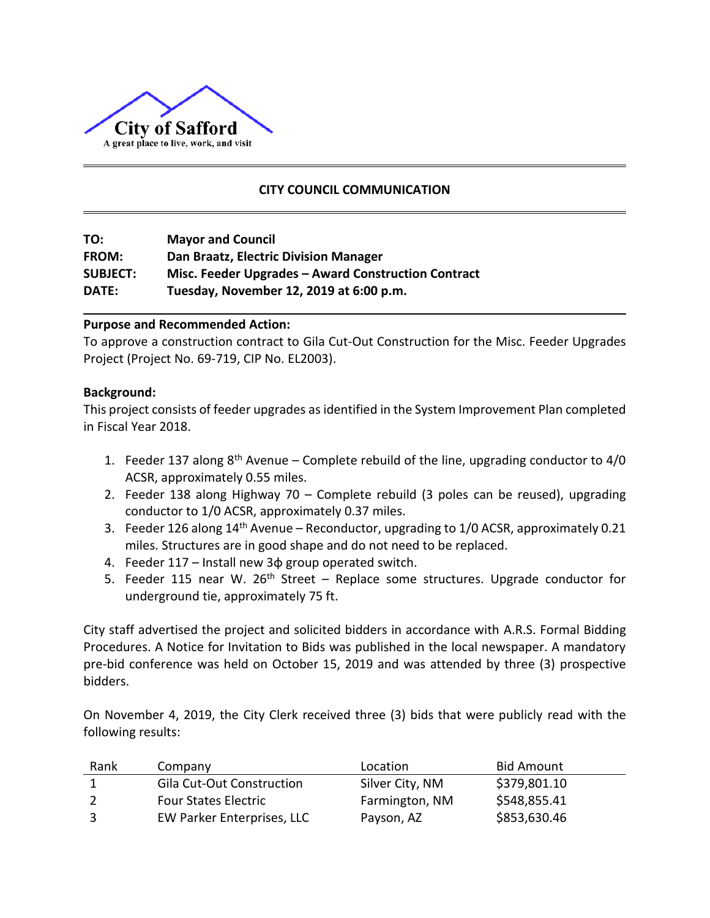

# **CITY COUNCIL COMMUNICATION**

| TO:             | <b>Mayor and Council</b>                            |
|-----------------|-----------------------------------------------------|
| <b>FROM:</b>    | Dan Braatz, Electric Division Manager               |
| <b>SUBJECT:</b> | Misc. Feeder Upgrades - Award Construction Contract |
| <b>DATE:</b>    | Tuesday, November 12, 2019 at 6:00 p.m.             |

## **Purpose and Recommended Action:**

To approve a construction contract to Gila Cut-Out Construction for the Misc. Feeder Upgrades Project (Project No. 69-719, CIP No. EL2003).

#### **Background:**

This project consists of feeder upgrades as identified in the System Improvement Plan completed in Fiscal Year 2018.

- 1. Feeder 137 along  $8<sup>th</sup>$  Avenue Complete rebuild of the line, upgrading conductor to 4/0 ACSR, approximately 0.55 miles.
- 2. Feeder 138 along Highway 70 Complete rebuild (3 poles can be reused), upgrading conductor to 1/0 ACSR, approximately 0.37 miles.
- 3. Feeder 126 along 14<sup>th</sup> Avenue Reconductor, upgrading to 1/0 ACSR, approximately 0.21 miles. Structures are in good shape and do not need to be replaced.
- 4. Feeder 117 Install new 3φ group operated switch.
- 5. Feeder 115 near W. 26<sup>th</sup> Street Replace some structures. Upgrade conductor for underground tie, approximately 75 ft.

City staff advertised the project and solicited bidders in accordance with A.R.S. Formal Bidding Procedures. A Notice for Invitation to Bids was published in the local newspaper. A mandatory pre-bid conference was held on October 15, 2019 and was attended by three (3) prospective bidders.

On November 4, 2019, the City Clerk received three (3) bids that were publicly read with the following results:

| Rank | Company                          | Location        | <b>Bid Amount</b> |
|------|----------------------------------|-----------------|-------------------|
|      | <b>Gila Cut-Out Construction</b> | Silver City, NM | \$379,801.10      |
|      | <b>Four States Electric</b>      | Farmington, NM  | \$548,855.41      |
| -3   | EW Parker Enterprises, LLC       | Payson, AZ      | \$853,630.46      |